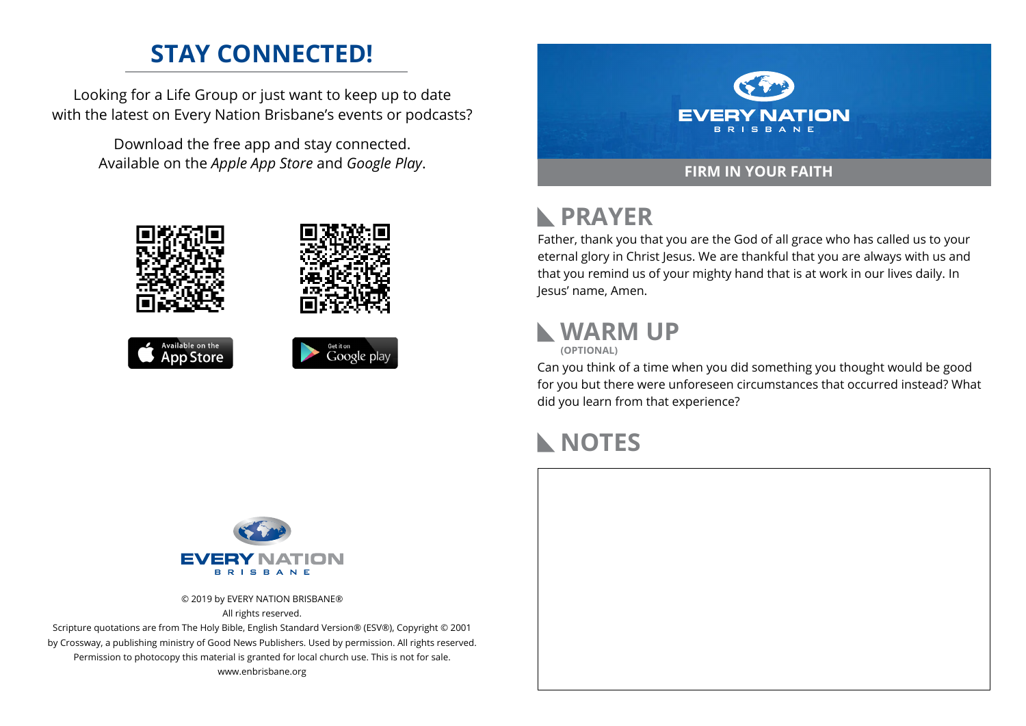## **STAY CONNECTED!**

Looking for a Life Group or just want to keep up to date with the latest on Every Nation Brisbane's events or podcasts?

> Download the free app and stay connected. Available on the *Apple App Store* and *Google Play*.











# **RAYER**

Father, thank you that you are the God of all grace who has called us to your eternal glory in Christ Jesus. We are thankful that you are always with us and that you remind us of your mighty hand that is at work in our lives daily. In Jesus' name, Amen.

# **WARM UP**



Can you think of a time when you did something you thought would be good for you but there were unforeseen circumstances that occurred instead? What did you learn from that experience?

#### **NOTES**



© 2019 by EVERY NATION BRISBANE® All rights reserved.

Scripture quotations are from The Holy Bible, English Standard Version® (ESV®), Copyright © 2001 by Crossway, a publishing ministry of Good News Publishers. Used by permission. All rights reserved. Permission to photocopy this material is granted for local church use. This is not for sale. www.enbrisbane.org